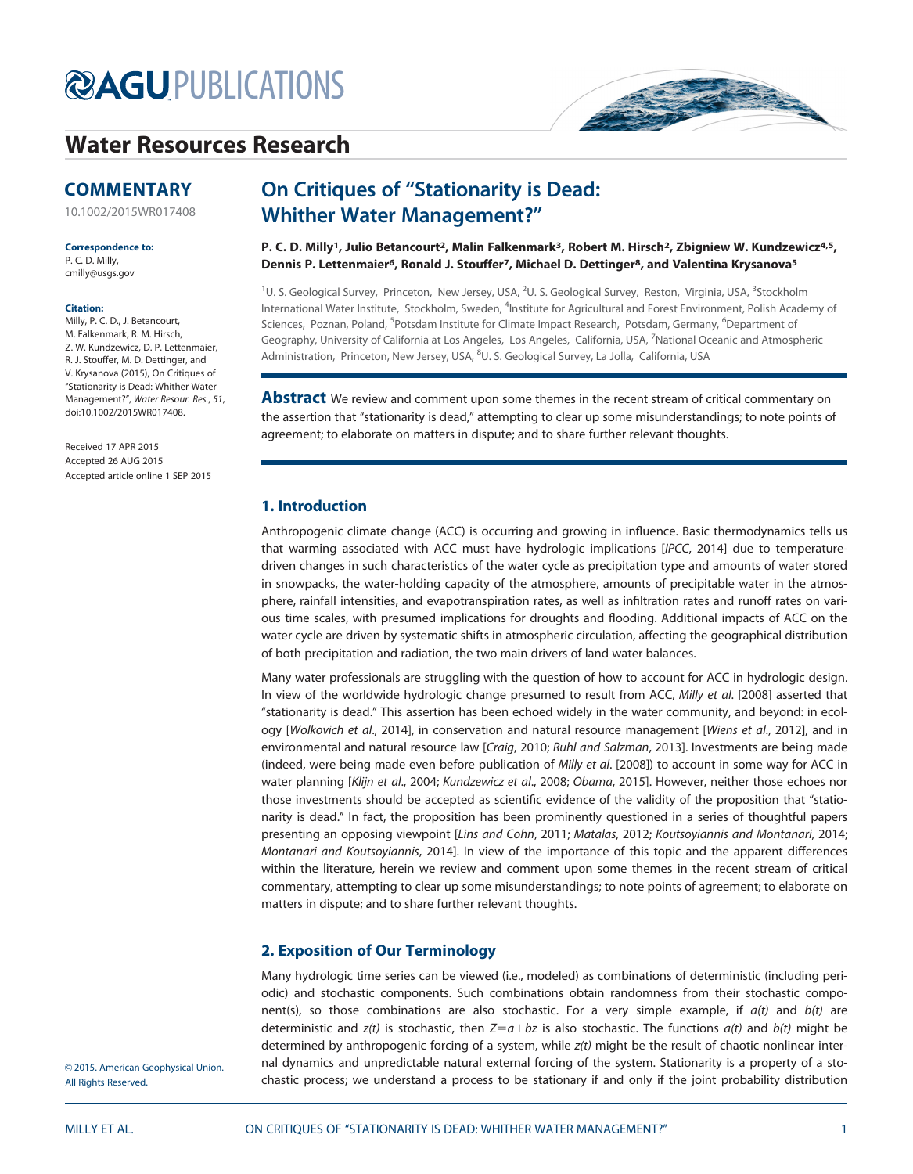# **@AGU[PUBLICATIONS](http://publications.agu.org/)**



# [Water Resources Research](http://onlinelibrary.wiley.com/journal/10.1002/(ISSN)1944-7973/)

# **COMMENTARY**

[10.1002/2015WR017408](http://dx.doi.org/10.1002/2015WR017408)

#### Correspondence to:

P. C. D. Milly, cmilly@usgs.gov

#### Citation:

Milly, P. C. D., J. Betancourt, M. Falkenmark, R. M. Hirsch, Z. W. Kundzewicz, D. P. Lettenmaier, R. J. Stouffer, M. D. Dettinger, and V. Krysanova (2015), On Critiques of ''Stationarity is Dead: Whither Water Management?'', Water Resour. Res., 51, doi:10.1002/2015WR017408.

Received 17 APR 2015 Accepted 26 AUG 2015 Accepted article online 1 SEP 2015

# On Critiques of ''Stationarity is Dead: Whither Water Management?''

P. C. D. Milly<sup>1</sup>, Julio Betancourt<sup>2</sup>, Malin Falkenmark<sup>3</sup>, Robert M. Hirsch<sup>2</sup>, Zbigniew W. Kundzewicz<sup>4,5</sup>, Dennis P. Lettenmaier<sup>6</sup>, Ronald J. Stouffer<sup>7</sup>, Michael D. Dettinger<sup>8</sup>, and Valentina Krysanova<sup>5</sup>

<sup>1</sup>U. S. Geological Survey, Princeton, New Jersey, USA, <sup>2</sup>U. S. Geological Survey, Reston, Virginia, USA, <sup>3</sup>Stockholm International Water Institute, Stockholm, Sweden, <sup>4</sup>Institute for Agricultural and Forest Environment, Polish Academy of Sciences, Poznan, Poland, <sup>5</sup>Potsdam Institute for Climate Impact Research, Potsdam, Germany, <sup>6</sup>Department of Geography, University of California at Los Angeles, Los Angeles, California, USA, <sup>7</sup>National Oceanic and Atmospheric Administration, Princeton, New Jersey, USA, <sup>8</sup>U. S. Geological Survey, La Jolla, California, USA

**Abstract** We review and comment upon some themes in the recent stream of critical commentary on the assertion that ''stationarity is dead,'' attempting to clear up some misunderstandings; to note points of agreement; to elaborate on matters in dispute; and to share further relevant thoughts.

## 1. Introduction

Anthropogenic climate change (ACC) is occurring and growing in influence. Basic thermodynamics tells us that warming associated with ACC must have hydrologic implications [IPCC, 2014] due to temperaturedriven changes in such characteristics of the water cycle as precipitation type and amounts of water stored in snowpacks, the water-holding capacity of the atmosphere, amounts of precipitable water in the atmosphere, rainfall intensities, and evapotranspiration rates, as well as infiltration rates and runoff rates on various time scales, with presumed implications for droughts and flooding. Additional impacts of ACC on the water cycle are driven by systematic shifts in atmospheric circulation, affecting the geographical distribution of both precipitation and radiation, the two main drivers of land water balances.

Many water professionals are struggling with the question of how to account for ACC in hydrologic design. In view of the worldwide hydrologic change presumed to result from ACC, Milly et al. [2008] asserted that ''stationarity is dead.'' This assertion has been echoed widely in the water community, and beyond: in ecology [Wolkovich et al., 2014], in conservation and natural resource management [Wiens et al., 2012], and in environmental and natural resource law [Craig, 2010; Ruhl and Salzman, 2013]. Investments are being made (indeed, were being made even before publication of Milly et al. [2008]) to account in some way for ACC in water planning [Klijn et al., 2004; Kundzewicz et al., 2008; Obama, 2015]. However, neither those echoes nor those investments should be accepted as scientific evidence of the validity of the proposition that "stationarity is dead.'' In fact, the proposition has been prominently questioned in a series of thoughtful papers presenting an opposing viewpoint [Lins and Cohn, 2011; Matalas, 2012; Koutsoyiannis and Montanari, 2014; Montanari and Koutsoyiannis, 2014]. In view of the importance of this topic and the apparent differences within the literature, herein we review and comment upon some themes in the recent stream of critical commentary, attempting to clear up some misunderstandings; to note points of agreement; to elaborate on matters in dispute; and to share further relevant thoughts.

## 2. Exposition of Our Terminology

Many hydrologic time series can be viewed (i.e., modeled) as combinations of deterministic (including periodic) and stochastic components. Such combinations obtain randomness from their stochastic component(s), so those combinations are also stochastic. For a very simple example, if  $a(t)$  and  $b(t)$  are deterministic and  $z(t)$  is stochastic, then  $Z=a+bz$  is also stochastic. The functions  $a(t)$  and  $b(t)$  might be determined by anthropogenic forcing of a system, while z(t) might be the result of chaotic nonlinear internal dynamics and unpredictable natural external forcing of the system. Stationarity is a property of a stochastic process; we understand a process to be stationary if and only if the joint probability distribution

© 2015. American Geophysical Union. All Rights Reserved.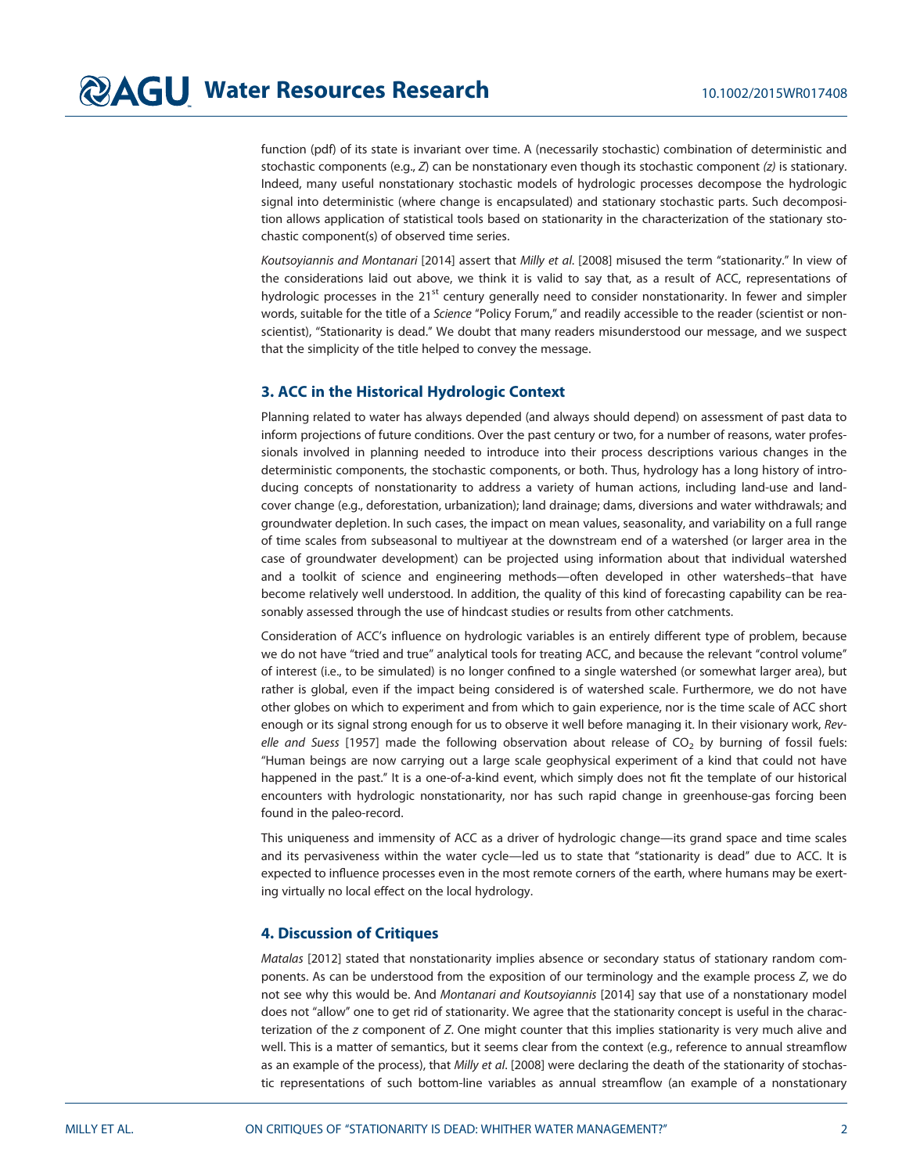function (pdf) of its state is invariant over time. A (necessarily stochastic) combination of deterministic and stochastic components (e.g.,  $Z$ ) can be nonstationary even though its stochastic component  $(z)$  is stationary. Indeed, many useful nonstationary stochastic models of hydrologic processes decompose the hydrologic signal into deterministic (where change is encapsulated) and stationary stochastic parts. Such decomposition allows application of statistical tools based on stationarity in the characterization of the stationary stochastic component(s) of observed time series.

Koutsoyiannis and Montanari [2014] assert that Milly et al. [2008] misused the term "stationarity." In view of the considerations laid out above, we think it is valid to say that, as a result of ACC, representations of hydrologic processes in the 21<sup>st</sup> century generally need to consider nonstationarity. In fewer and simpler words, suitable for the title of a Science "Policy Forum," and readily accessible to the reader (scientist or nonscientist), ''Stationarity is dead.'' We doubt that many readers misunderstood our message, and we suspect that the simplicity of the title helped to convey the message.

### 3. ACC in the Historical Hydrologic Context

Planning related to water has always depended (and always should depend) on assessment of past data to inform projections of future conditions. Over the past century or two, for a number of reasons, water professionals involved in planning needed to introduce into their process descriptions various changes in the deterministic components, the stochastic components, or both. Thus, hydrology has a long history of introducing concepts of nonstationarity to address a variety of human actions, including land-use and landcover change (e.g., deforestation, urbanization); land drainage; dams, diversions and water withdrawals; and groundwater depletion. In such cases, the impact on mean values, seasonality, and variability on a full range of time scales from subseasonal to multiyear at the downstream end of a watershed (or larger area in the case of groundwater development) can be projected using information about that individual watershed and a toolkit of science and engineering methods—often developed in other watersheds–that have become relatively well understood. In addition, the quality of this kind of forecasting capability can be reasonably assessed through the use of hindcast studies or results from other catchments.

Consideration of ACC's influence on hydrologic variables is an entirely different type of problem, because we do not have "tried and true" analytical tools for treating ACC, and because the relevant "control volume" of interest (i.e., to be simulated) is no longer confined to a single watershed (or somewhat larger area), but rather is global, even if the impact being considered is of watershed scale. Furthermore, we do not have other globes on which to experiment and from which to gain experience, nor is the time scale of ACC short enough or its signal strong enough for us to observe it well before managing it. In their visionary work, Revelle and Suess [1957] made the following observation about release of  $CO<sub>2</sub>$  by burning of fossil fuels: ''Human beings are now carrying out a large scale geophysical experiment of a kind that could not have happened in the past.'' It is a one-of-a-kind event, which simply does not fit the template of our historical encounters with hydrologic nonstationarity, nor has such rapid change in greenhouse-gas forcing been found in the paleo-record.

This uniqueness and immensity of ACC as a driver of hydrologic change—its grand space and time scales and its pervasiveness within the water cycle—led us to state that ''stationarity is dead'' due to ACC. It is expected to influence processes even in the most remote corners of the earth, where humans may be exerting virtually no local effect on the local hydrology.

### 4. Discussion of Critiques

Matalas [2012] stated that nonstationarity implies absence or secondary status of stationary random components. As can be understood from the exposition of our terminology and the example process Z, we do not see why this would be. And Montanari and Koutsoyiannis [2014] say that use of a nonstationary model does not ''allow'' one to get rid of stationarity. We agree that the stationarity concept is useful in the characterization of the z component of Z. One might counter that this implies stationarity is very much alive and well. This is a matter of semantics, but it seems clear from the context (e.g., reference to annual streamflow as an example of the process), that Milly et al. [2008] were declaring the death of the stationarity of stochastic representations of such bottom-line variables as annual streamflow (an example of a nonstationary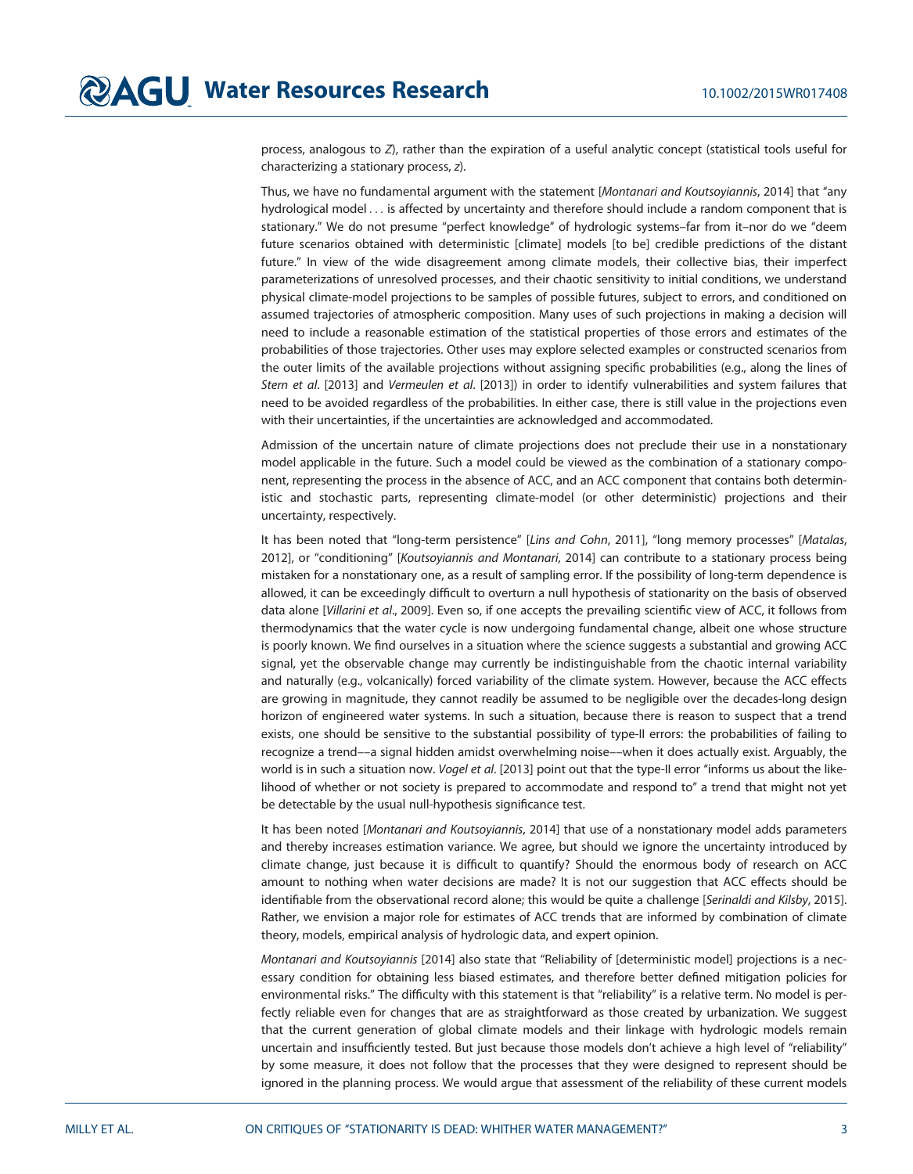process, analogous to Z), rather than the expiration of a useful analytic concept (statistical tools useful for characterizing a stationary process, z).

Thus, we have no fundamental argument with the statement [Montanari and Koutsoyiannis, 2014] that "any hydrological model ... is affected by uncertainty and therefore should include a random component that is stationary.'' We do not presume ''perfect knowledge'' of hydrologic systems–far from it–nor do we ''deem future scenarios obtained with deterministic [climate] models [to be] credible predictions of the distant future.'' In view of the wide disagreement among climate models, their collective bias, their imperfect parameterizations of unresolved processes, and their chaotic sensitivity to initial conditions, we understand physical climate-model projections to be samples of possible futures, subject to errors, and conditioned on assumed trajectories of atmospheric composition. Many uses of such projections in making a decision will need to include a reasonable estimation of the statistical properties of those errors and estimates of the probabilities of those trajectories. Other uses may explore selected examples or constructed scenarios from the outer limits of the available projections without assigning specific probabilities (e.g., along the lines of Stern et al. [2013] and Vermeulen et al. [2013]) in order to identify vulnerabilities and system failures that need to be avoided regardless of the probabilities. In either case, there is still value in the projections even with their uncertainties, if the uncertainties are acknowledged and accommodated.

Admission of the uncertain nature of climate projections does not preclude their use in a nonstationary model applicable in the future. Such a model could be viewed as the combination of a stationary component, representing the process in the absence of ACC, and an ACC component that contains both deterministic and stochastic parts, representing climate-model (or other deterministic) projections and their uncertainty, respectively.

It has been noted that "long-term persistence" [Lins and Cohn, 2011], "long memory processes" [Matalas, 2012], or ''conditioning'' [Koutsoyiannis and Montanari, 2014] can contribute to a stationary process being mistaken for a nonstationary one, as a result of sampling error. If the possibility of long-term dependence is allowed, it can be exceedingly difficult to overturn a null hypothesis of stationarity on the basis of observed data alone [Villarini et al., 2009]. Even so, if one accepts the prevailing scientific view of ACC, it follows from thermodynamics that the water cycle is now undergoing fundamental change, albeit one whose structure is poorly known. We find ourselves in a situation where the science suggests a substantial and growing ACC signal, yet the observable change may currently be indistinguishable from the chaotic internal variability and naturally (e.g., volcanically) forced variability of the climate system. However, because the ACC effects are growing in magnitude, they cannot readily be assumed to be negligible over the decades-long design horizon of engineered water systems. In such a situation, because there is reason to suspect that a trend exists, one should be sensitive to the substantial possibility of type-II errors: the probabilities of failing to recognize a trend––a signal hidden amidst overwhelming noise––when it does actually exist. Arguably, the world is in such a situation now. Vogel et al. [2013] point out that the type-II error "informs us about the likelihood of whether or not society is prepared to accommodate and respond to'' a trend that might not yet be detectable by the usual null-hypothesis significance test.

It has been noted [Montanari and Koutsoyiannis, 2014] that use of a nonstationary model adds parameters and thereby increases estimation variance. We agree, but should we ignore the uncertainty introduced by climate change, just because it is difficult to quantify? Should the enormous body of research on ACC amount to nothing when water decisions are made? It is not our suggestion that ACC effects should be identifiable from the observational record alone; this would be quite a challenge [Serinaldi and Kilsby, 2015]. Rather, we envision a major role for estimates of ACC trends that are informed by combination of climate theory, models, empirical analysis of hydrologic data, and expert opinion.

Montanari and Koutsoyiannis [2014] also state that ''Reliability of [deterministic model] projections is a necessary condition for obtaining less biased estimates, and therefore better defined mitigation policies for environmental risks.'' The difficulty with this statement is that ''reliability'' is a relative term. No model is perfectly reliable even for changes that are as straightforward as those created by urbanization. We suggest that the current generation of global climate models and their linkage with hydrologic models remain uncertain and insufficiently tested. But just because those models don't achieve a high level of ''reliability'' by some measure, it does not follow that the processes that they were designed to represent should be ignored in the planning process. We would argue that assessment of the reliability of these current models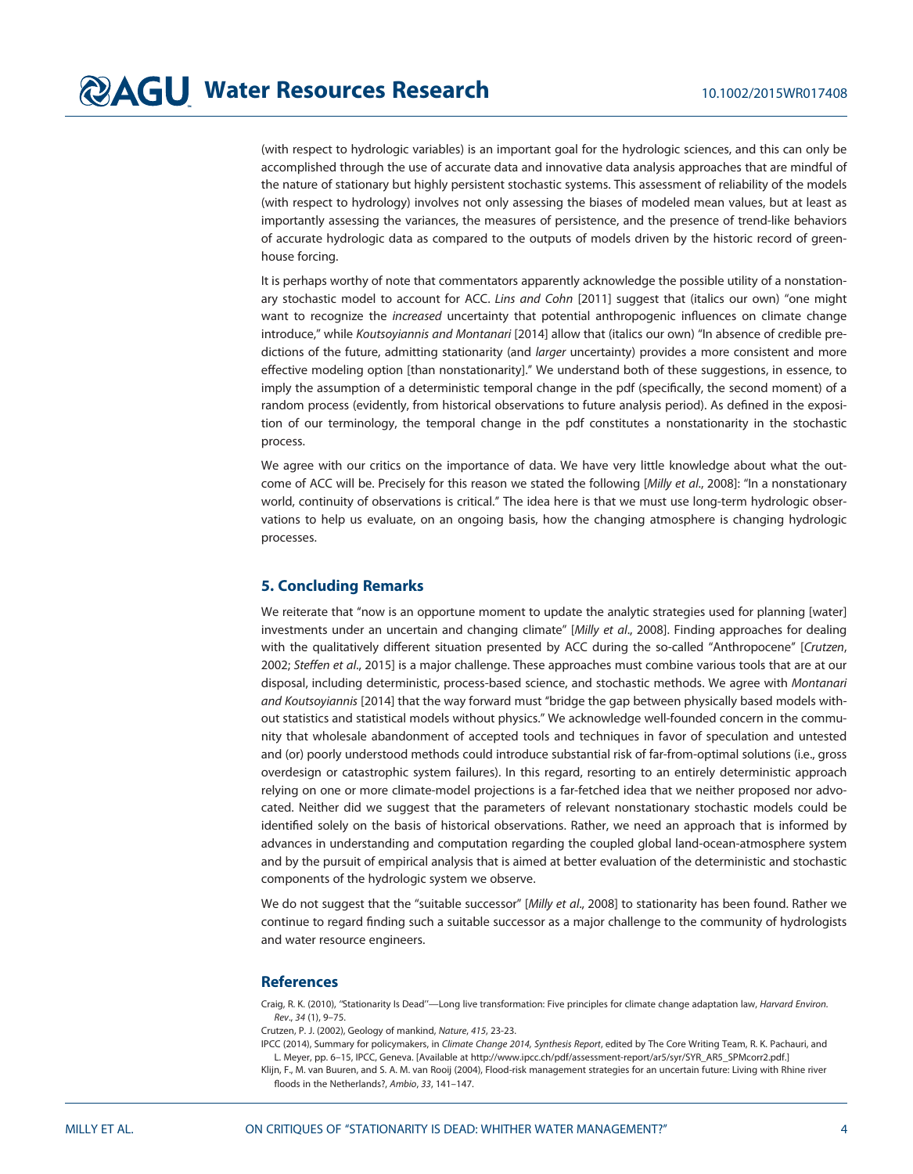(with respect to hydrologic variables) is an important goal for the hydrologic sciences, and this can only be accomplished through the use of accurate data and innovative data analysis approaches that are mindful of the nature of stationary but highly persistent stochastic systems. This assessment of reliability of the models (with respect to hydrology) involves not only assessing the biases of modeled mean values, but at least as importantly assessing the variances, the measures of persistence, and the presence of trend-like behaviors of accurate hydrologic data as compared to the outputs of models driven by the historic record of greenhouse forcing.

It is perhaps worthy of note that commentators apparently acknowledge the possible utility of a nonstationary stochastic model to account for ACC. Lins and Cohn [2011] suggest that (italics our own) "one might want to recognize the increased uncertainty that potential anthropogenic influences on climate change introduce," while Koutsoyiannis and Montanari [2014] allow that (italics our own) "In absence of credible predictions of the future, admitting stationarity (and *larger* uncertainty) provides a more consistent and more effective modeling option [than nonstationarity].'' We understand both of these suggestions, in essence, to imply the assumption of a deterministic temporal change in the pdf (specifically, the second moment) of a random process (evidently, from historical observations to future analysis period). As defined in the exposition of our terminology, the temporal change in the pdf constitutes a nonstationarity in the stochastic process.

We agree with our critics on the importance of data. We have very little knowledge about what the outcome of ACC will be. Precisely for this reason we stated the following [Milly et al., 2008]: "In a nonstationary world, continuity of observations is critical.'' The idea here is that we must use long-term hydrologic observations to help us evaluate, on an ongoing basis, how the changing atmosphere is changing hydrologic processes.

### 5. Concluding Remarks

We reiterate that "now is an opportune moment to update the analytic strategies used for planning [water] investments under an uncertain and changing climate" [Milly et al., 2008]. Finding approaches for dealing with the qualitatively different situation presented by ACC during the so-called "Anthropocene" [Crutzen, 2002; Steffen et al., 2015] is a major challenge. These approaches must combine various tools that are at our disposal, including deterministic, process-based science, and stochastic methods. We agree with Montanari and Koutsoyiannis [2014] that the way forward must ''bridge the gap between physically based models without statistics and statistical models without physics.'' We acknowledge well-founded concern in the community that wholesale abandonment of accepted tools and techniques in favor of speculation and untested and (or) poorly understood methods could introduce substantial risk of far-from-optimal solutions (i.e., gross overdesign or catastrophic system failures). In this regard, resorting to an entirely deterministic approach relying on one or more climate-model projections is a far-fetched idea that we neither proposed nor advocated. Neither did we suggest that the parameters of relevant nonstationary stochastic models could be identified solely on the basis of historical observations. Rather, we need an approach that is informed by advances in understanding and computation regarding the coupled global land-ocean-atmosphere system and by the pursuit of empirical analysis that is aimed at better evaluation of the deterministic and stochastic components of the hydrologic system we observe.

We do not suggest that the "suitable successor" [Milly et al., 2008] to stationarity has been found. Rather we continue to regard finding such a suitable successor as a major challenge to the community of hydrologists and water resource engineers.

#### References

Craig, R. K. (2010), "Stationarity Is Dead"—Long live transformation: Five principles for climate change adaptation law, Harvard Environ. Rev., 34 (1), 9–75.

Crutzen, P. J. (2002), Geology of mankind, Nature, 415, 23-23.

IPCC (2014), Summary for policymakers, in Climate Change 2014, Synthesis Report, edited by The Core Writing Team, R. K. Pachauri, and L. Meyer, pp. 6–15, IPCC, Geneva. [Available at [http://www.ipcc.ch/pdf/assessment-report/ar5/syr/SYR\\_AR5\\_SPMcorr2.pdf.](http://www.ipcc.ch/pdf/assessment-report/ar5/syr/SYR_AR5_SPMcorr2.pdf)]

Klijn, F., M. van Buuren, and S. A. M. van Rooij (2004), Flood-risk management strategies for an uncertain future: Living with Rhine river floods in the Netherlands?, Ambio, 33, 141–147.